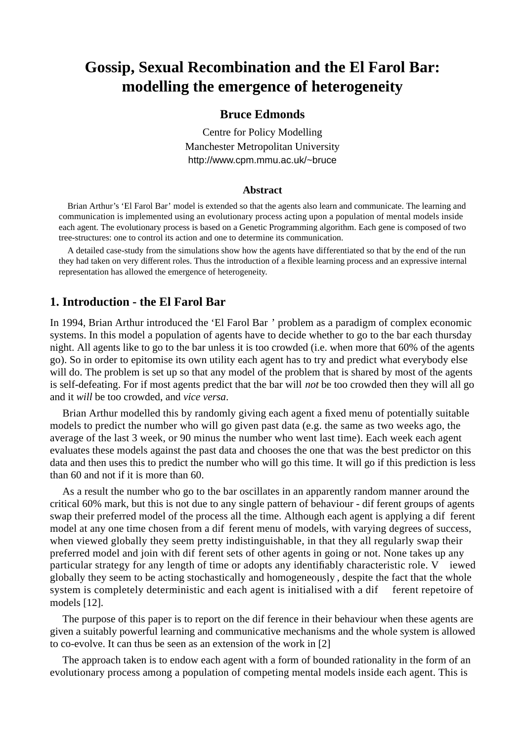# **Gossip, Sexual Recombination and the El Farol Bar: modelling the emergence of heterogeneity**

#### **Bruce Edmonds**

Centre for Policy Modelling Manchester Metropolitan University http://www.cpm.mmu.ac.uk/~bruce

#### **Abstract**

Brian Arthur's 'El Farol Bar' model is extended so that the agents also learn and communicate. The learning and communication is implemented using an evolutionary process acting upon a population of mental models inside each agent. The evolutionary process is based on a Genetic Programming algorithm. Each gene is composed of two tree-structures: one to control its action and one to determine its communication.

A detailed case-study from the simulations show how the agents have differentiated so that by the end of the run they had taken on very different roles. Thus the introduction of a flexible learning process and an expressive internal representation has allowed the emergence of heterogeneity.

#### **1. Introduction - the El Farol Bar**

In 1994, Brian Arthur introduced the 'El Farol Bar ' problem as a paradigm of complex economic systems. In this model a population of agents have to decide whether to go to the bar each thursday night. All agents like to go to the bar unless it is too crowded (i.e. when more that 60% of the agents go). So in order to epitomise its own utility each agent has to try and predict what everybody else will do. The problem is set up so that any model of the problem that is shared by most of the agents is self-defeating. For if most agents predict that the bar will *not* be too crowded then they will all go and it *will* be too crowded, and *vice versa*.

Brian Arthur modelled this by randomly giving each agent a fixed menu of potentially suitable models to predict the number who will go given past data (e.g. the same as two weeks ago, the average of the last 3 week, or 90 minus the number who went last time). Each week each agent evaluates these models against the past data and chooses the one that was the best predictor on this data and then uses this to predict the number who will go this time. It will go if this prediction is less than 60 and not if it is more than 60.

As a result the number who go to the bar oscillates in an apparently random manner around the critical 60% mark, but this is not due to any single pattern of behaviour - dif ferent groups of agents swap their preferred model of the process all the time. Although each agent is applying a dif ferent model at any one time chosen from a dif ferent menu of models, with varying degrees of success, when viewed globally they seem pretty indistinguishable, in that they all regularly swap their preferred model and join with dif ferent sets of other agents in going or not. None takes up any particular strategy for any length of time or adopts any identifiably characteristic role. V iewed globally they seem to be acting stochastically and homogeneously , despite the fact that the whole system is completely deterministic and each agent is initialised with a dif ferent repetoire of models [12].

The purpose of this paper is to report on the dif ference in their behaviour when these agents are given a suitably powerful learning and communicative mechanisms and the whole system is allowed to co-evolve. It can thus be seen as an extension of the work in [2]

The approach taken is to endow each agent with a form of bounded rationality in the form of an evolutionary process among a population of competing mental models inside each agent. This is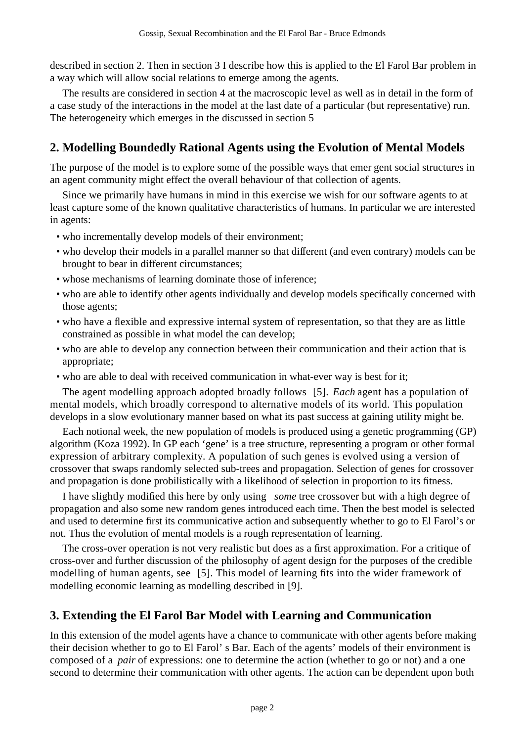described in section 2. Then in section 3 I describe how this is applied to the El Farol Bar problem in a way which will allow social relations to emerge among the agents.

The results are considered in section 4 at the macroscopic level as well as in detail in the form of a case study of the interactions in the model at the last date of a particular (but representative) run. The heterogeneity which emerges in the discussed in section 5

### **2. Modelling Boundedly Rational Agents using the Evolution of Mental Models**

The purpose of the model is to explore some of the possible ways that emer gent social structures in an agent community might effect the overall behaviour of that collection of agents.

Since we primarily have humans in mind in this exercise we wish for our software agents to at least capture some of the known qualitative characteristics of humans. In particular we are interested in agents:

- who incrementally develop models of their environment;
- who develop their models in a parallel manner so that different (and even contrary) models can be brought to bear in different circumstances;
- whose mechanisms of learning dominate those of inference;
- who are able to identify other agents individually and develop models specifically concerned with those agents;
- who have a flexible and expressive internal system of representation, so that they are as little constrained as possible in what model the can develop;
- who are able to develop any connection between their communication and their action that is appropriate;
- who are able to deal with received communication in what-ever way is best for it;

The agent modelling approach adopted broadly follows [5]. *Each* agent has a population of mental models, which broadly correspond to alternative models of its world. This population develops in a slow evolutionary manner based on what its past success at gaining utility might be.

Each notional week, the new population of models is produced using a genetic programming (GP) algorithm (Koza 1992). In GP each 'gene' is a tree structure, representing a program or other formal expression of arbitrary complexity. A population of such genes is evolved using a version of crossover that swaps randomly selected sub-trees and propagation. Selection of genes for crossover and propagation is done probilistically with a likelihood of selection in proportion to its fitness.

I have slightly modified this here by only using *some* tree crossover but with a high degree of propagation and also some new random genes introduced each time. Then the best model is selected and used to determine first its communicative action and subsequently whether to go to El Farol's or not. Thus the evolution of mental models is a rough representation of learning.

The cross-over operation is not very realistic but does as a first approximation. For a critique of cross-over and further discussion of the philosophy of agent design for the purposes of the credible modelling of human agents, see [5]. This model of learning fits into the wider framework of modelling economic learning as modelling described in [9].

## **3. Extending the El Farol Bar Model with Learning and Communication**

In this extension of the model agents have a chance to communicate with other agents before making their decision whether to go to El Farol' s Bar. Each of the agents' models of their environment is composed of a *pair* of expressions: one to determine the action (whether to go or not) and a one second to determine their communication with other agents. The action can be dependent upon both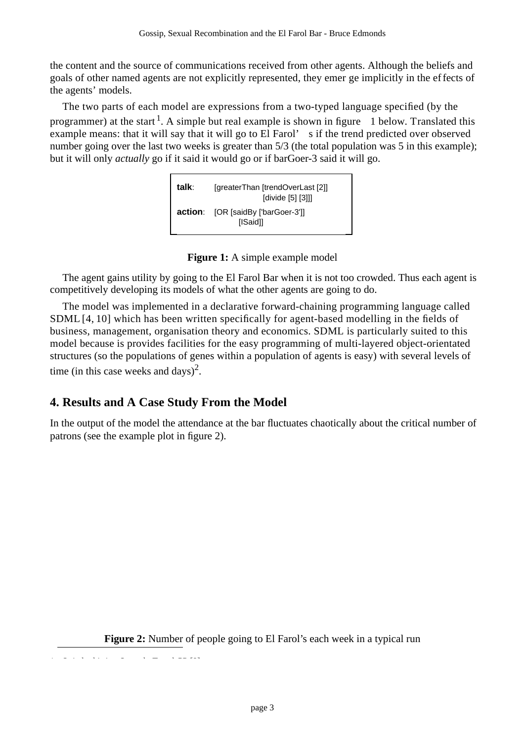the content and the source of communications received from other agents. Although the beliefs and goals of other named agents are not explicitly represented, they emer ge implicitly in the effects of the agents' models.

The two parts of each model are expressions from a two-typed language specified (by the programmer) at the start <sup>1</sup>. A simple but real example is shown in figure 1 below. Translated this example means: that it will say that it will go to El Farol' s if the trend predicted over observed number going over the last two weeks is greater than  $5/3$  (the total population was 5 in this example); but it will only *actually* go if it said it would go or if barGoer-3 said it will go.



**Figure 1:** A simple example model

The agent gains utility by going to the El Farol Bar when it is not too crowded. Thus each agent is competitively developing its models of what the other agents are going to do.

The model was implemented in a declarative forward-chaining programming language called SDML [4, 10] which has been written specifically for agent-based modelling in the fields of business, management, organisation theory and economics. SDML is particularly suited to this model because is provides facilities for the easy programming of multi-layered object-orientated structures (so the populations of genes within a population of agents is easy) with several levels of time (in this case weeks and days)<sup>2</sup>.

## **4. Results and A Case Study From the Model**

In the output of the model the attendance at the bar fluctuates chaotically about the critical number of patrons (see the example plot in figure 2).

**Figure 2:** Number of people going to El Farol's each week in a typical run

1. Strictly the strictly the strictly the strictly the strictly the strictly the strictly the strictly the str<br>In the strictly the strictly the strictly the strictly the strictly the strictly the strictly the strictly the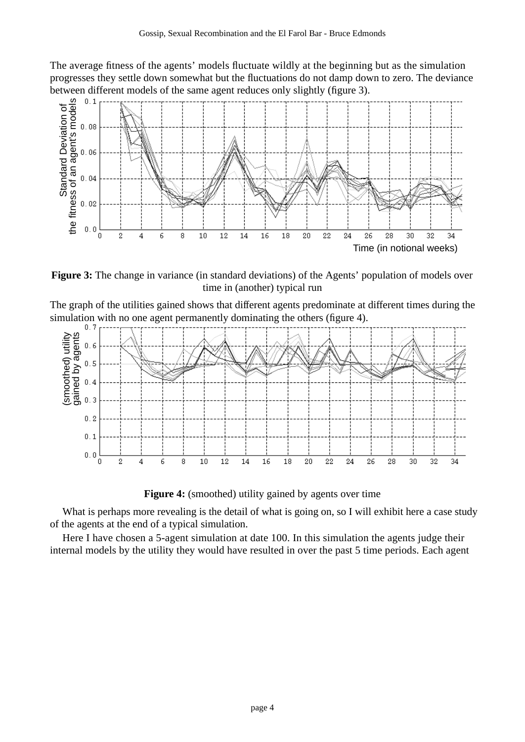The average fitness of the agents' models fluctuate wildly at the beginning but as the simulation progresses they settle down somewhat but the fluctuations do not damp down to zero. The deviance



**Figure 3:** The change in variance (in standard deviations) of the Agents' population of models over time in (another) typical run

The graph of the utilities gained shows that different agents predominate at different times during the simulation with no one agent permanently dominating the others (figure 4).<br> $0.7$   $1.7$   $1.7$   $1.7$   $1.7$   $1.7$   $1.7$   $1.7$   $1.7$   $1.7$   $1.7$   $1.7$   $1.7$   $1.7$   $1.7$   $1.7$   $1.7$   $1.7$   $1.7$   $1.7$   $1.7$   $1.7$   $1.7$   $1.7$   $1$ 



**Figure 4:** (smoothed) utility gained by agents over time

What is perhaps more revealing is the detail of what is going on, so I will exhibit here a case study of the agents at the end of a typical simulation.

Here I have chosen a 5-agent simulation at date 100. In this simulation the agents judge their internal models by the utility they would have resulted in over the past 5 time periods. Each agent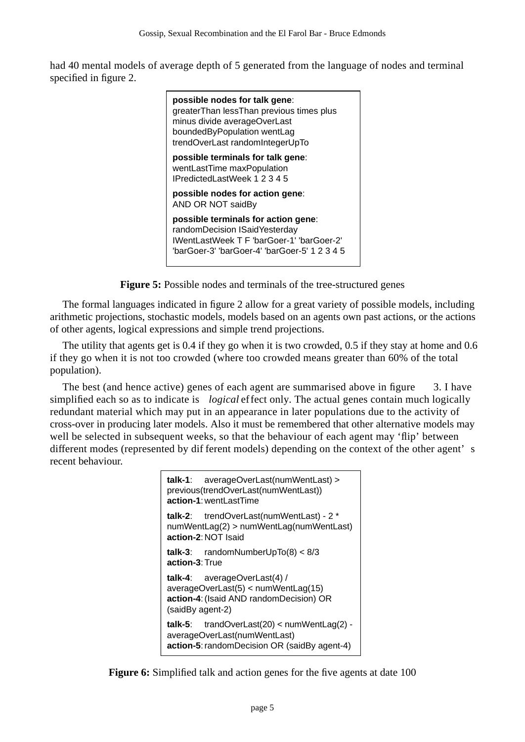had 40 mental models of average depth of 5 generated from the language of nodes and terminal specified in figure 2.

| possible nodes for talk gene:<br>greaterThan lessThan previous times plus<br>minus divide averageOverLast<br>boundedByPopulation wentLag<br>trendOverLast randomIntegerUpTo |
|-----------------------------------------------------------------------------------------------------------------------------------------------------------------------------|
| possible terminals for talk gene:<br>wentLastTime maxPopulation<br>IPredictedLastWeek 1 2 3 4 5                                                                             |
| possible nodes for action gene:<br>AND OR NOT saidBy                                                                                                                        |
| possible terminals for action gene:<br>randomDecision ISaidYesterday<br>IWentLastWeek T F 'barGoer-1' 'barGoer-2'<br>"barGoer-3' "barGoer-4' "barGoer-5' 1 2 3 4 5          |

**Figure 5:** Possible nodes and terminals of the tree-structured genes

The formal languages indicated in figure 2 allow for a great variety of possible models, including arithmetic projections, stochastic models, models based on an agents own past actions, or the actions of other agents, logical expressions and simple trend projections.

The utility that agents get is 0.4 if they go when it is two crowded, 0.5 if they stay at home and 0.6 if they go when it is not too crowded (where too crowded means greater than 60% of the total population).

The best (and hence active) genes of each agent are summarised above in figure 3. I have simplified each so as to indicate is *logical* effect only. The actual genes contain much logically redundant material which may put in an appearance in later populations due to the activity of cross-over in producing later models. Also it must be remembered that other alternative models may well be selected in subsequent weeks, so that the behaviour of each agent may 'flip' between different modes (represented by dif ferent models) depending on the context of the other agent' s recent behaviour.

> **talk-1**: averageOverLast(numWentLast) > previous(trendOverLast(numWentLast)) **action-1**:wentLastTime **talk-2**: trendOverLast(numWentLast) - 2 \* numWentLag(2) > numWentLag(numWentLast) **action-2**:NOT Isaid **talk-3**: randomNumberUpTo(8) < 8/3 **action-3**:True **talk-4**: averageOverLast(4) / averageOverLast(5) < numWentLag(15) **action-4**:(Isaid AND randomDecision) OR (saidBy agent-2) **talk-5**: trandOverLast(20) < numWentLag(2) averageOverLast(numWentLast) **action-5**:randomDecision OR (saidBy agent-4)

**Figure 6:** Simplified talk and action genes for the five agents at date 100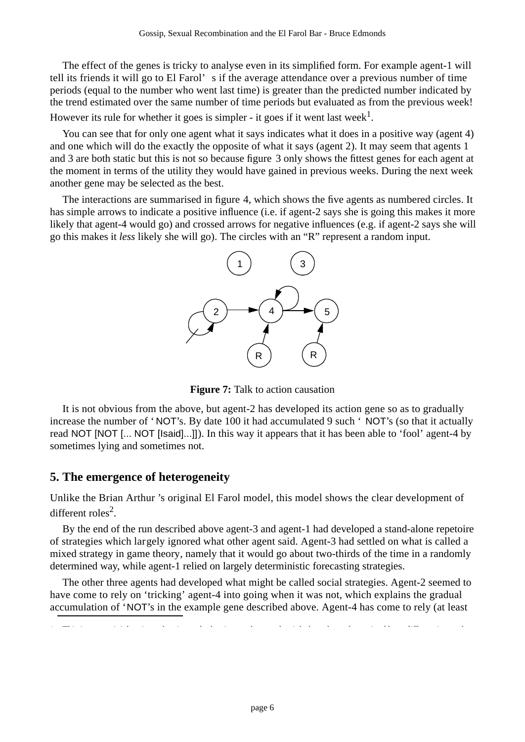The effect of the genes is tricky to analyse even in its simplified form. For example agent-1 will tell its friends it will go to El Farol' s if the average attendance over a previous number of time periods (equal to the number who went last time) is greater than the predicted number indicated by the trend estimated over the same number of time periods but evaluated as from the previous week! However its rule for whether it goes is simpler - it goes if it went last week<sup>1</sup>.

You can see that for only one agent what it says indicates what it does in a positive way (agent 4) and one which will do the exactly the opposite of what it says (agent 2). It may seem that agents 1 and 3 are both static but this is not so because figure 3 only shows the fittest genes for each agent at the moment in terms of the utility they would have gained in previous weeks. During the next week another gene may be selected as the best.

The interactions are summarised in figure 4, which shows the five agents as numbered circles. It has simple arrows to indicate a positive influence (i.e. if agent-2 says she is going this makes it more likely that agent-4 would go) and crossed arrows for negative influences (e.g. if agent-2 says she will go this makes it *less* likely she will go). The circles with an "R" represent a random input.



**Figure 7:** Talk to action causation

It is not obvious from the above, but agent-2 has developed its action gene so as to gradually increase the number of ' NOT's. By date 100 it had accumulated 9 such ' NOT's (so that it actually read NOT [NOT [... NOT [Isaid]...]]). In this way it appears that it has been able to 'fool' agent-4 by sometimes lying and sometimes not.

### **5. The emergence of heterogeneity**

Unlike the Brian Arthur 's original El Farol model, this model shows the clear development of different roles<sup>2</sup>.

By the end of the run described above agent-3 and agent-1 had developed a stand-alone repetoire of strategies which largely ignored what other agent said. Agent-3 had settled on what is called a mixed strategy in game theory, namely that it would go about two-thirds of the time in a randomly determined way, while agent-1 relied on largely deterministic forecasting strategies.

The other three agents had developed what might be called social strategies. Agent-2 seemed to have come to rely on 'tricking' agent-4 into going when it was not, which explains the gradual accumulation of 'NOT's in the example gene described above. Agent-4 has come to rely (at least

1. This is not a trivial action rule, since whether it went last week might have been determined by a *different* internal